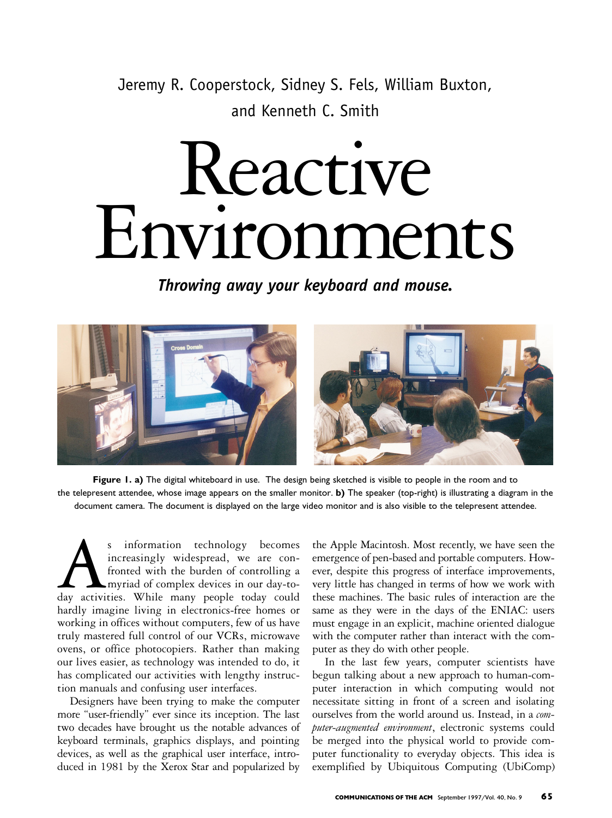Jeremy R. Cooperstock, Sidney S. Fels, William Buxton, and Kenneth C. Smith

# Reactive Environments

*Throwing away your keyboard and mouse.*



**Figure 1. a)** The digital whiteboard in use. The design being sketched is visible to people in the room and to the telepresent attendee, whose image appears on the smaller monitor. **b)** The speaker (top-right) is illustrating a diagram in the document camera. The document is displayed on the large video monitor and is also visible to the telepresent attendee.

s information technology becomes<br>increasingly widespread, we are con-<br>fronted with the burden of controlling a<br>myriad of complex devices in our day-to-<br>day activities. While many people today could increasingly widespread, we are confronted with the burden of controlling a myriad of complex devices in our day-tohardly imagine living in electronics-free homes or working in offices without computers, few of us have truly mastered full control of our VCRs, microwave ovens, or office photocopiers. Rather than making our lives easier, as technology was intended to do, it has complicated our activities with lengthy instruction manuals and confusing user interfaces.

Designers have been trying to make the computer more "user-friendly" ever since its inception. The last two decades have brought us the notable advances of keyboard terminals, graphics displays, and pointing devices, as well as the graphical user interface, introduced in 1981 by the Xerox Star and popularized by

the Apple Macintosh. Most recently, we have seen the emergence of pen-based and portable computers. However, despite this progress of interface improvements, very little has changed in terms of how we work with these machines. The basic rules of interaction are the same as they were in the days of the ENIAC: users must engage in an explicit, machine oriented dialogue with the computer rather than interact with the computer as they do with other people.

In the last few years, computer scientists have begun talking about a new approach to human-computer interaction in which computing would not necessitate sitting in front of a screen and isolating ourselves from the world around us. Instead, in a *computer-augmented environment*, electronic systems could be merged into the physical world to provide computer functionality to everyday objects. This idea is exemplified by Ubiquitous Computing (UbiComp)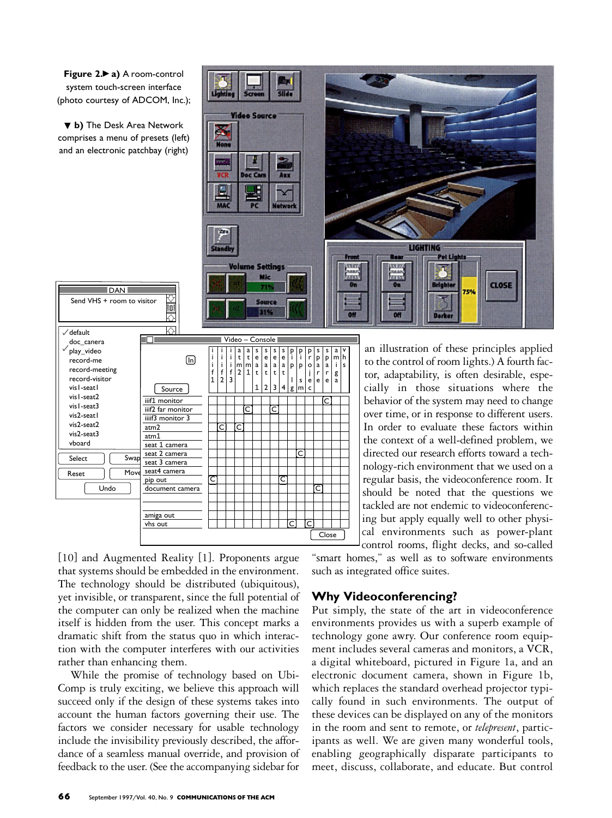**Figure 2.▶a)** A room-control system touch-screen interface (photo courtesy of ADCOM, Inc.);

▼ **b)** The Desk Area Network comprises a menu of presets (left) and an electronic patchbay (right)

**DAN** 

Send VHS + room to visitor

Select Reset

 $\sqrt{}$  default doc\_canera play\_video record-me record-meeting record-visitor vis1-seat1 vis1-seat2 vis1-seat3 vis2-seat1 vis2-seat2 vis2-seat3 vboard

Undo

Swa Mov



an illustration of these principles applied to the control of room lights.) A fourth factor, adaptability, is often desirable, especially in those situations where the behavior of the system may need to change over time, or in response to different users. In order to evaluate these factors within the context of a well-defined problem, we directed our research efforts toward a technology-rich environment that we used on a regular basis, the videoconference room. It should be noted that the questions we tackled are not endemic to videoconferencing but apply equally well to other physical environments such as power-plant control rooms, flight decks, and so-called

[10] and Augmented Reality [1]. Proponents argue that systems should be embedded in the environment. The technology should be distributed (ubiquitous), yet invisible, or transparent, since the full potential of the computer can only be realized when the machine itself is hidden from the user. This concept marks a dramatic shift from the status quo in which interaction with the computer interferes with our activities rather than enhancing them.

i i i f 1

In

Source

マ属で

 $\overline{\mathbb{A}}$ 

Ō

iiif1 monitor iiif2 far monitor iiiif3 monitor 3 atm2 atm1 seat 1 camera seat 2 camera seat 3 camera seat4 camera pip out document camera

amiga out vhs out

C

i i i f 2

i i i f 3

C C

a t m 2 a t m 1

s e a t 1

<u>CJ | [C</u>

s e a t 2 s e a t 3

s e a t 4 p i p l g

p i p s m

C

C

C

C

C

Close

s p a r e

p r o j e c

s p a r e

C

a m i g a v h s

While the promise of technology based on Ubi-Comp is truly exciting, we believe this approach will succeed only if the design of these systems takes into account the human factors governing their use. The factors we consider necessary for usable technology include the invisibility previously described, the affordance of a seamless manual override, and provision of feedback to the user. (See the accompanying sidebar for

"smart homes," as well as to software environments such as integrated office suites.

## **Why Videoconferencing?**

Put simply, the state of the art in videoconference environments provides us with a superb example of technology gone awry. Our conference room equipment includes several cameras and monitors, a VCR, a digital whiteboard, pictured in Figure 1a, and an electronic document camera, shown in Figure 1b, which replaces the standard overhead projector typically found in such environments. The output of these devices can be displayed on any of the monitors in the room and sent to remote, or *telepresent*, participants as well. We are given many wonderful tools, enabling geographically disparate participants to meet, discuss, collaborate, and educate. But control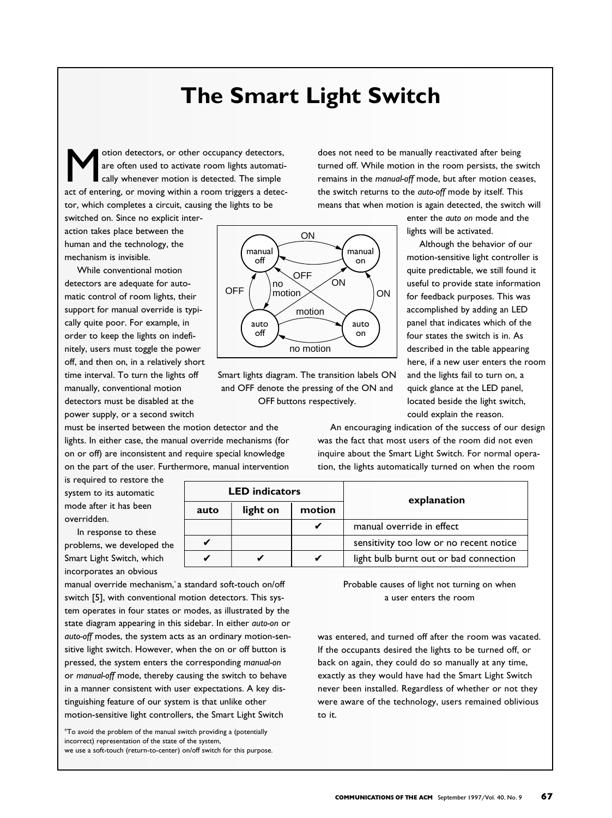## **The Smart Light Switch**

Motion detectors, or other occupancy detectors,<br>are often used to activate room lights automatically whenever motion is detected. The simple<br>act of entering or moving within a room triggers a detect are often used to activate room lights automatically whenever motion is detected. The simple act of entering, or moving within a room triggers a detector, which completes a circuit, causing the lights to be

does not need to be manually reactivated after being turned off. While motion in the room persists, the switch remains in the *manual-off* mode, but after motion ceases, the switch returns to the *auto-off* mode by itself. This means that when motion is again detected, the switch will

switched on. Since no explicit interaction takes place between the human and the technology, the mechanism is invisible.

While conventional motion detectors are adequate for automatic control of room lights, their support for manual override is typically quite poor. For example, in order to keep the lights on indefinitely, users must toggle the power off, and then on, in a relatively short time interval. To turn the lights off manually, conventional motion detectors must be disabled at the power supply, or a second switch



Smart lights diagram. The transition labels ON and OFF denote the pressing of the ON and OFF buttons respectively.

enter the *auto on* mode and the lights will be activated.

Although the behavior of our motion-sensitive light controller is quite predictable, we still found it useful to provide state information for feedback purposes. This was accomplished by adding an LED panel that indicates which of the four states the switch is in. As described in the table appearing here, if a new user enters the room and the lights fail to turn on, a quick glance at the LED panel, located beside the light switch, could explain the reason.

must be inserted between the motion detector and the lights. In either case, the manual override mechanisms (for on or off) are inconsistent and require special knowledge on the part of the user. Furthermore, manual intervention

An encouraging indication of the success of our design was the fact that most users of the room did not even inquire about the Smart Light Switch. For normal operation, the lights automatically turned on when the room

is required to restore the system to its automatic mode after it has been overridden.

In response to these problems, we developed the Smart Light Switch, which incorporates an obvious

manual override mechanism,\* a standard soft-touch on/off switch [5], with conventional motion detectors. This system operates in four states or modes, as illustrated by the state diagram appearing in this sidebar. In either *auto-on* or *auto-off* modes, the system acts as an ordinary motion-sensitive light switch. However, when the on or off button is pressed, the system enters the corresponding *manual-on* or *manual-off* mode, thereby causing the switch to behave in a manner consistent with user expectations. A key distinguishing feature of our system is that unlike other motion-sensitive light controllers, the Smart Light Switch

\*To avoid the problem of the manual switch providing a (potentially incorrect) representation of the state of the system, we use a soft-touch (return-to-center) on/off switch for this purpose.

| <b>LED</b> indicators |          |        | explanation                             |
|-----------------------|----------|--------|-----------------------------------------|
| auto                  | light on | motion |                                         |
|                       |          |        | manual override in effect               |
|                       |          |        | sensitivity too low or no recent notice |
|                       |          |        | light bulb burnt out or bad connection  |

Probable causes of light not turning on when a user enters the room

was entered, and turned off after the room was vacated. If the occupants desired the lights to be turned off, or back on again, they could do so manually at any time, exactly as they would have had the Smart Light Switch never been installed. Regardless of whether or not they were aware of the technology, users remained oblivious to it.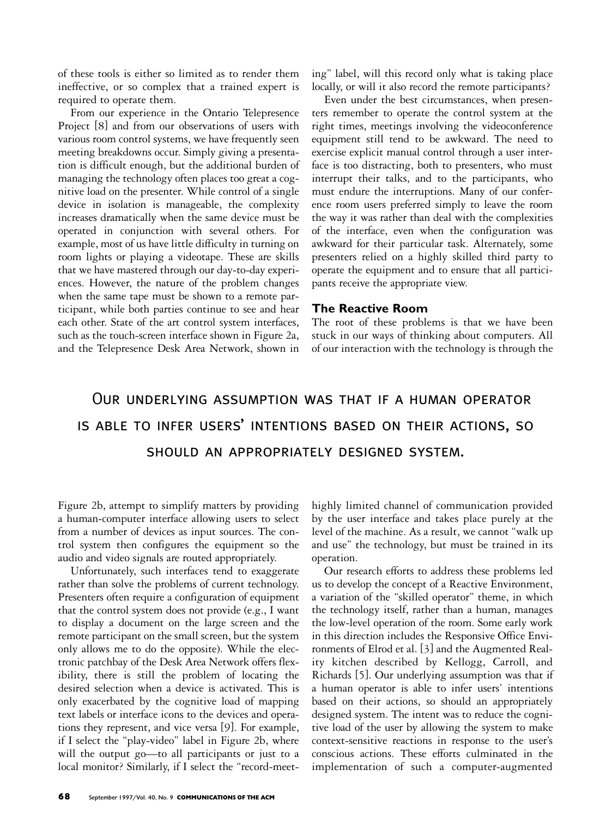of these tools is either so limited as to render them ineffective, or so complex that a trained expert is required to operate them.

From our experience in the Ontario Telepresence Project [8] and from our observations of users with various room control systems, we have frequently seen meeting breakdowns occur. Simply giving a presentation is difficult enough, but the additional burden of managing the technology often places too great a cognitive load on the presenter. While control of a single device in isolation is manageable, the complexity increases dramatically when the same device must be operated in conjunction with several others. For example, most of us have little difficulty in turning on room lights or playing a videotape. These are skills that we have mastered through our day-to-day experiences. However, the nature of the problem changes when the same tape must be shown to a remote participant, while both parties continue to see and hear each other. State of the art control system interfaces, such as the touch-screen interface shown in Figure 2a, and the Telepresence Desk Area Network, shown in

ing" label, will this record only what is taking place locally, or will it also record the remote participants?

Even under the best circumstances, when presenters remember to operate the control system at the right times, meetings involving the videoconference equipment still tend to be awkward. The need to exercise explicit manual control through a user interface is too distracting, both to presenters, who must interrupt their talks, and to the participants, who must endure the interruptions. Many of our conference room users preferred simply to leave the room the way it was rather than deal with the complexities of the interface, even when the configuration was awkward for their particular task. Alternately, some presenters relied on a highly skilled third party to operate the equipment and to ensure that all participants receive the appropriate view.

## **The Reactive Room**

The root of these problems is that we have been stuck in our ways of thinking about computers. All of our interaction with the technology is through the

## Our underlying assumption was that if a human operator is able to infer users' intentions based on their actions, so should an appropriately designed system.

Figure 2b, attempt to simplify matters by providing a human-computer interface allowing users to select from a number of devices as input sources. The control system then configures the equipment so the audio and video signals are routed appropriately.

Unfortunately, such interfaces tend to exaggerate rather than solve the problems of current technology. Presenters often require a configuration of equipment that the control system does not provide (e.g., I want to display a document on the large screen and the remote participant on the small screen, but the system only allows me to do the opposite). While the electronic patchbay of the Desk Area Network offers flexibility, there is still the problem of locating the desired selection when a device is activated. This is only exacerbated by the cognitive load of mapping text labels or interface icons to the devices and operations they represent, and vice versa [9]. For example, if I select the "play-video" label in Figure 2b, where will the output go—to all participants or just to a local monitor? Similarly, if I select the "record-meethighly limited channel of communication provided by the user interface and takes place purely at the level of the machine. As a result, we cannot "walk up and use" the technology, but must be trained in its operation.

Our research efforts to address these problems led us to develop the concept of a Reactive Environment, a variation of the "skilled operator" theme, in which the technology itself, rather than a human, manages the low-level operation of the room. Some early work in this direction includes the Responsive Office Environments of Elrod et al. [3] and the Augmented Reality kitchen described by Kellogg, Carroll, and Richards [5]. Our underlying assumption was that if a human operator is able to infer users' intentions based on their actions, so should an appropriately designed system. The intent was to reduce the cognitive load of the user by allowing the system to make context-sensitive reactions in response to the user's conscious actions. These efforts culminated in the implementation of such a computer-augmented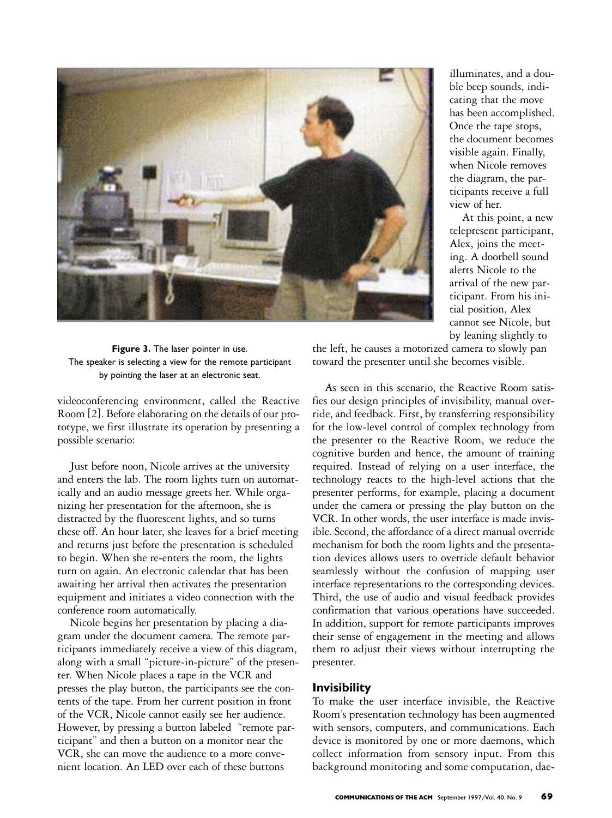

illuminates, and a double beep sounds, indicating that the move has been accomplished. Once the tape stops, the document becomes visible again. Finally, when Nicole removes the diagram, the participants receive a full view of her.

At this point, a new telepresent participant, Alex, joins the meeting. A doorbell sound alerts Nicole to the arrival of the new participant. From his initial position, Alex cannot see Nicole, but by leaning slightly to

Figure 3. The laser pointer in use. The speaker is selecting a view for the remote participant by pointing the laser at an electronic seat.

videoconferencing environment, called the Reactive Room [2]. Before elaborating on the details of our prototype, we first illustrate its operation by presenting a possible scenario:

Just before noon, Nicole arrives at the university and enters the lab. The room lights turn on automatically and an audio message greets her. While organizing her presentation for the afternoon, she is distracted by the fluorescent lights, and so turns these off. An hour later, she leaves for a brief meeting and returns just before the presentation is scheduled to begin. When she re-enters the room, the lights turn on again. An electronic calendar that has been awaiting her arrival then activates the presentation equipment and initiates a video connection with the conference room automatically.

Nicole begins her presentation by placing a diagram under the document camera. The remote participants immediately receive a view of this diagram, along with a small "picture-in-picture" of the presenter. When Nicole places a tape in the VCR and presses the play button, the participants see the contents of the tape. From her current position in front of the VCR, Nicole cannot easily see her audience. However, by pressing a button labeled "remote participant" and then a button on a monitor near the VCR, she can move the audience to a more convenient location. An LED over each of these buttons

the left, he causes a motorized camera to slowly pan toward the presenter until she becomes visible.

As seen in this scenario, the Reactive Room satisfies our design principles of invisibility, manual override, and feedback. First, by transferring responsibility for the low-level control of complex technology from the presenter to the Reactive Room, we reduce the cognitive burden and hence, the amount of training required. Instead of relying on a user interface, the technology reacts to the high-level actions that the presenter performs, for example, placing a document under the camera or pressing the play button on the VCR. In other words, the user interface is made invisible. Second, the affordance of a direct manual override mechanism for both the room lights and the presentation devices allows users to override default behavior seamlessly without the confusion of mapping user interface representations to the corresponding devices. Third, the use of audio and visual feedback provides confirmation that various operations have succeeded. In addition, support for remote participants improves their sense of engagement in the meeting and allows them to adjust their views without interrupting the presenter.

## **Invisibility**

To make the user interface invisible, the Reactive Room's presentation technology has been augmented with sensors, computers, and communications. Each device is monitored by one or more daemons, which collect information from sensory input. From this background monitoring and some computation, dae-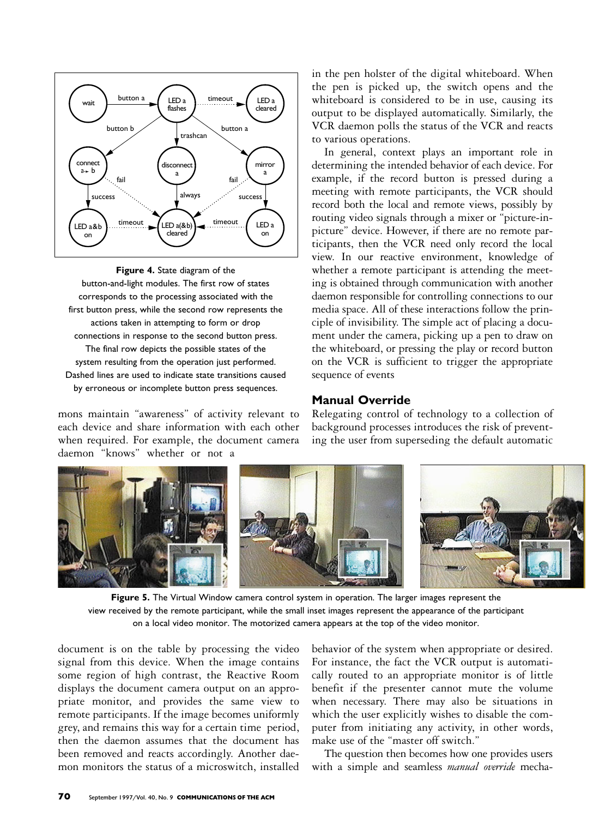

corresponds to the processing associated with the **Figure 4.** State diagram of the button-and-light modules. The first row of states first button press, while the second row represents the actions taken in attempting to form or drop connections in response to the second button press. The final row depicts the possible states of the system resulting from the operation just performed. Dashed lines are used to indicate state transitions caused by erroneous or incomplete button press sequences.

mons maintain "awareness" of activity relevant to each device and share information with each other when required. For example, the document camera daemon "knows" whether or not a

in the pen holster of the digital whiteboard. When the pen is picked up, the switch opens and the whiteboard is considered to be in use, causing its output to be displayed automatically. Similarly, the VCR daemon polls the status of the VCR and reacts to various operations.

In general, context plays an important role in determining the intended behavior of each device. For example, if the record button is pressed during a meeting with remote participants, the VCR should record both the local and remote views, possibly by routing video signals through a mixer or "picture-inpicture" device. However, if there are no remote participants, then the VCR need only record the local view. In our reactive environment, knowledge of whether a remote participant is attending the meeting is obtained through communication with another daemon responsible for controlling connections to our media space. All of these interactions follow the principle of invisibility. The simple act of placing a document under the camera, picking up a pen to draw on the whiteboard, or pressing the play or record button on the VCR is sufficient to trigger the appropriate sequence of events

#### **Manual Override**

Relegating control of technology to a collection of background processes introduces the risk of preventing the user from superseding the default automatic



**Figure 5.** The Virtual Window camera control system in operation. The larger images represent the view received by the remote participant, while the small inset images represent the appearance of the participant on a local video monitor. The motorized camera appears at the top of the video monitor.

document is on the table by processing the video signal from this device. When the image contains some region of high contrast, the Reactive Room displays the document camera output on an appropriate monitor, and provides the same view to remote participants. If the image becomes uniformly grey, and remains this way for a certain time period, then the daemon assumes that the document has been removed and reacts accordingly. Another daemon monitors the status of a microswitch, installed

behavior of the system when appropriate or desired. For instance, the fact the VCR output is automatically routed to an appropriate monitor is of little benefit if the presenter cannot mute the volume when necessary. There may also be situations in which the user explicitly wishes to disable the computer from initiating any activity, in other words, make use of the "master off switch."

The question then becomes how one provides users with a simple and seamless *manual override* mecha-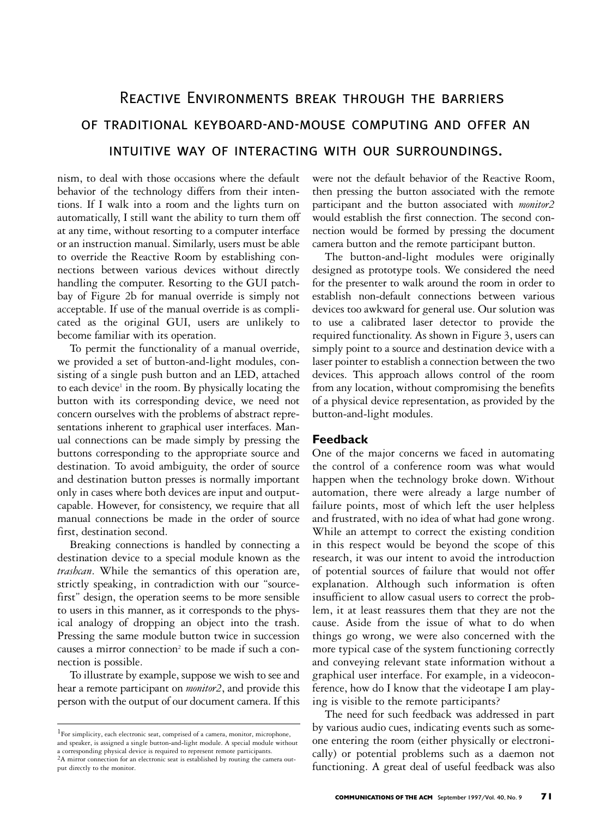## Reactive Environments break through the barriers of traditional keyboard-and-mouse computing and offer an intuitive way of interacting with our surroundings.

nism, to deal with those occasions where the default behavior of the technology differs from their intentions. If I walk into a room and the lights turn on automatically, I still want the ability to turn them off at any time, without resorting to a computer interface or an instruction manual. Similarly, users must be able to override the Reactive Room by establishing connections between various devices without directly handling the computer. Resorting to the GUI patchbay of Figure 2b for manual override is simply not acceptable. If use of the manual override is as complicated as the original GUI, users are unlikely to become familiar with its operation.

To permit the functionality of a manual override, we provided a set of button-and-light modules, consisting of a single push button and an LED, attached to each device<sup>1</sup> in the room. By physically locating the button with its corresponding device, we need not concern ourselves with the problems of abstract representations inherent to graphical user interfaces. Manual connections can be made simply by pressing the buttons corresponding to the appropriate source and destination. To avoid ambiguity, the order of source and destination button presses is normally important only in cases where both devices are input and outputcapable. However, for consistency, we require that all manual connections be made in the order of source first, destination second.

Breaking connections is handled by connecting a destination device to a special module known as the *trashcan*. While the semantics of this operation are, strictly speaking, in contradiction with our "sourcefirst" design, the operation seems to be more sensible to users in this manner, as it corresponds to the physical analogy of dropping an object into the trash. Pressing the same module button twice in succession causes a mirror connection<sup>2</sup> to be made if such a connection is possible.

To illustrate by example, suppose we wish to see and hear a remote participant on *monitor2*, and provide this person with the output of our document camera. If this were not the default behavior of the Reactive Room, then pressing the button associated with the remote participant and the button associated with *monitor2* would establish the first connection. The second connection would be formed by pressing the document camera button and the remote participant button.

The button-and-light modules were originally designed as prototype tools. We considered the need for the presenter to walk around the room in order to establish non-default connections between various devices too awkward for general use. Our solution was to use a calibrated laser detector to provide the required functionality. As shown in Figure 3, users can simply point to a source and destination device with a laser pointer to establish a connection between the two devices. This approach allows control of the room from any location, without compromising the benefits of a physical device representation, as provided by the button-and-light modules.

## **Feedback**

One of the major concerns we faced in automating the control of a conference room was what would happen when the technology broke down. Without automation, there were already a large number of failure points, most of which left the user helpless and frustrated, with no idea of what had gone wrong. While an attempt to correct the existing condition in this respect would be beyond the scope of this research, it was our intent to avoid the introduction of potential sources of failure that would not offer explanation. Although such information is often insufficient to allow casual users to correct the problem, it at least reassures them that they are not the cause. Aside from the issue of what to do when things go wrong, we were also concerned with the more typical case of the system functioning correctly and conveying relevant state information without a graphical user interface. For example, in a videoconference, how do I know that the videotape I am playing is visible to the remote participants?

The need for such feedback was addressed in part by various audio cues, indicating events such as someone entering the room (either physically or electronically) or potential problems such as a daemon not functioning. A great deal of useful feedback was also

 $1$ For simplicity, each electronic seat, comprised of a camera, monitor, microphone, and speaker, is assigned a single button-and-light module. A special module without a corresponding physical device is required to represent remote participants. 2A mirror connection for an electronic seat is established by routing the camera output directly to the monitor.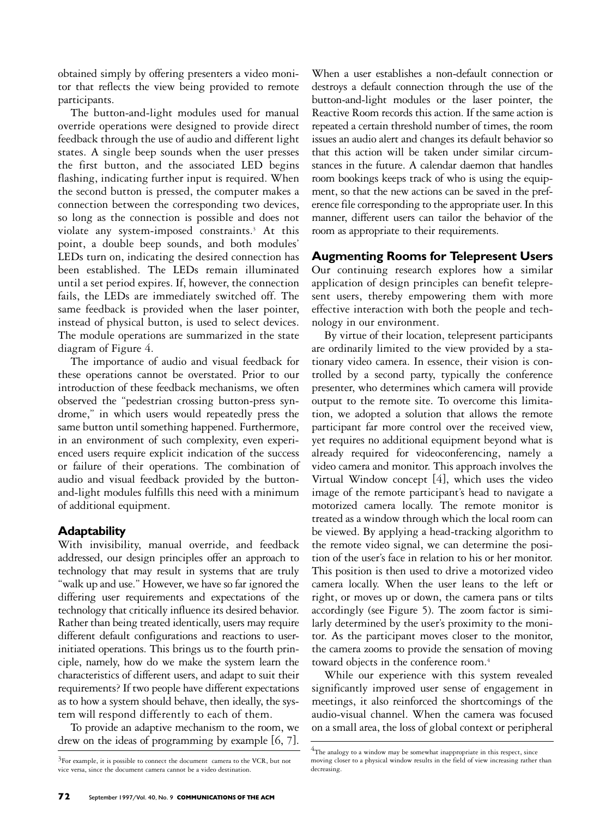obtained simply by offering presenters a video monitor that reflects the view being provided to remote participants.

The button-and-light modules used for manual override operations were designed to provide direct feedback through the use of audio and different light states. A single beep sounds when the user presses the first button, and the associated LED begins flashing, indicating further input is required. When the second button is pressed, the computer makes a connection between the corresponding two devices, so long as the connection is possible and does not violate any system-imposed constraints.<sup>3</sup> At this point, a double beep sounds, and both modules' LEDs turn on, indicating the desired connection has been established. The LEDs remain illuminated until a set period expires. If, however, the connection fails, the LEDs are immediately switched off. The same feedback is provided when the laser pointer, instead of physical button, is used to select devices. The module operations are summarized in the state diagram of Figure 4.

The importance of audio and visual feedback for these operations cannot be overstated. Prior to our introduction of these feedback mechanisms, we often observed the "pedestrian crossing button-press syndrome," in which users would repeatedly press the same button until something happened. Furthermore, in an environment of such complexity, even experienced users require explicit indication of the success or failure of their operations. The combination of audio and visual feedback provided by the buttonand-light modules fulfills this need with a minimum of additional equipment.

## **Adaptability**

With invisibility, manual override, and feedback addressed, our design principles offer an approach to technology that may result in systems that are truly "walk up and use." However, we have so far ignored the differing user requirements and expectations of the technology that critically influence its desired behavior. Rather than being treated identically, users may require different default configurations and reactions to userinitiated operations. This brings us to the fourth principle, namely, how do we make the system learn the characteristics of different users, and adapt to suit their requirements? If two people have different expectations as to how a system should behave, then ideally, the system will respond differently to each of them.

To provide an adaptive mechanism to the room, we drew on the ideas of programming by example [6, 7].

When a user establishes a non-default connection or destroys a default connection through the use of the button-and-light modules or the laser pointer, the Reactive Room records this action. If the same action is repeated a certain threshold number of times, the room issues an audio alert and changes its default behavior so that this action will be taken under similar circumstances in the future. A calendar daemon that handles room bookings keeps track of who is using the equipment, so that the new actions can be saved in the preference file corresponding to the appropriate user. In this manner, different users can tailor the behavior of the room as appropriate to their requirements.

## **Augmenting Rooms for Telepresent Users**

Our continuing research explores how a similar application of design principles can benefit telepresent users, thereby empowering them with more effective interaction with both the people and technology in our environment.

By virtue of their location, telepresent participants are ordinarily limited to the view provided by a stationary video camera. In essence, their vision is controlled by a second party, typically the conference presenter, who determines which camera will provide output to the remote site. To overcome this limitation, we adopted a solution that allows the remote participant far more control over the received view, yet requires no additional equipment beyond what is already required for videoconferencing, namely a video camera and monitor. This approach involves the Virtual Window concept [4], which uses the video image of the remote participant's head to navigate a motorized camera locally. The remote monitor is treated as a window through which the local room can be viewed. By applying a head-tracking algorithm to the remote video signal, we can determine the position of the user's face in relation to his or her monitor. This position is then used to drive a motorized video camera locally. When the user leans to the left or right, or moves up or down, the camera pans or tilts accordingly (see Figure 5). The zoom factor is similarly determined by the user's proximity to the monitor. As the participant moves closer to the monitor, the camera zooms to provide the sensation of moving toward objects in the conference room.<sup>4</sup>

While our experience with this system revealed significantly improved user sense of engagement in meetings, it also reinforced the shortcomings of the audio-visual channel. When the camera was focused on a small area, the loss of global context or peripheral

 $3F$ or example, it is possible to connect the document camera to the VCR, but not vice versa, since the document camera cannot be a video destination.

 $4$ The analogy to a window may be somewhat inappropriate in this respect, since moving closer to a physical window results in the field of view increasing rather than decreasing.